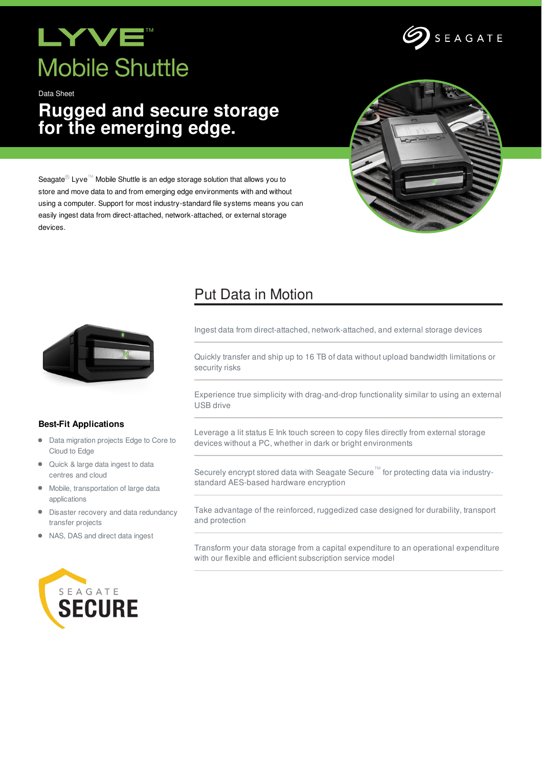# LYVE **Mobile Shuttle**

Data Sheet

## **Rugged and secure storage for the emerging edge.**



SEAGATE

Seagate<sup>®</sup> Lyve<sup>™</sup> Mobile Shuttle is an edge storage solution that allows you to store and move data to and from emerging edge environments with and without using a computer. Support for most industry-standard file systems means you can easily ingest data from direct-attached, network-attached, or external storage devices.



### **Best-Fit Applications**

- $\bullet$ Data migration projects Edge to Core to Cloud to Edge
- Quick & large data ingest to data centres and cloud
- $\bullet$ Mobile, transportation of large data applications
- Disaster recovery and data redundancy  $\bullet$ transfer projects
- NAS, DAS and direct data ingest



### Put Data in Motion

Ingest data from direct-attached, network-attached, and external storage devices

Quickly transfer and ship up to 16 TB of data without upload bandwidth limitations or security risks

Experience true simplicity with drag-and-drop functionality similar to using an external USB drive

Leverage a lit status E Ink touch screen to copy files directly from external storage devices without a PC, whether in dark or bright environments

Securely encrypt stored data with Seagate Secure™ for protecting data via industrystandard AES-based hardware encryption

Take advantage of the reinforced, ruggedized case designed for durability, transport and protection

Transform your data storage from a capital expenditure to an operational expenditure with our flexible and efficient subscription service model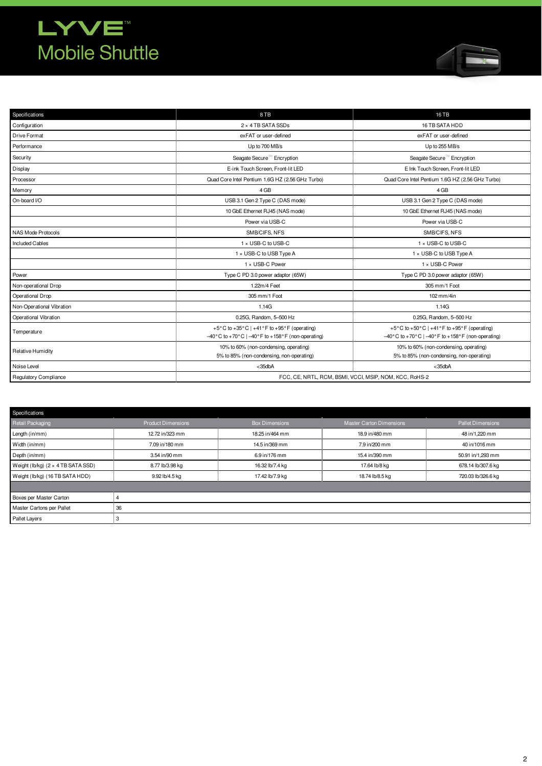## **LYVE Mobile Shuttle**



| Specifications            | 8TB<br><b>16 TB</b>                                                                                                                                                                                                                        |                                                  |  |  |  |
|---------------------------|--------------------------------------------------------------------------------------------------------------------------------------------------------------------------------------------------------------------------------------------|--------------------------------------------------|--|--|--|
| Configuration             | 2 × 4 TB SATA SSDs<br>16 TB SATA HDD                                                                                                                                                                                                       |                                                  |  |  |  |
| Drive Format              | exFAT or user-defined                                                                                                                                                                                                                      | exFAT or user-defined                            |  |  |  |
| Performance               | Up to 700 MB/s                                                                                                                                                                                                                             | Up to 255 MB/s                                   |  |  |  |
| Security                  | Seagate Secure <sup>™</sup> Encryption                                                                                                                                                                                                     | Seagate Secure™ Encryption                       |  |  |  |
| Display                   | E-ink Touch Screen, Front-lit LED                                                                                                                                                                                                          | E Ink Touch Screen. Front-lit LED                |  |  |  |
| Processor                 | Quad Core Intel Pentium 1.6G HZ (2.56 GHz Turbo)                                                                                                                                                                                           | Quad Core Intel Pentium 1.6G HZ (2.56 GHz Turbo) |  |  |  |
| Memory                    | 4 GB                                                                                                                                                                                                                                       | 4 GB                                             |  |  |  |
| On-board I/O              | USB 3.1 Gen 2 Type C (DAS mode)                                                                                                                                                                                                            | USB 3.1 Gen 2 Type C (DAS mode)                  |  |  |  |
|                           | 10 GbE Ethernet RJ45 (NAS mode)                                                                                                                                                                                                            | 10 GbE Ethernet RJ45 (NAS mode)                  |  |  |  |
|                           | Power via USB-C                                                                                                                                                                                                                            | Power via USB-C                                  |  |  |  |
| NAS Mode Protocols        | SMB/CIFS, NFS                                                                                                                                                                                                                              | SMB/CIFS, NFS                                    |  |  |  |
| <b>Included Cables</b>    | 1 x USB-C to USB-C                                                                                                                                                                                                                         | 1 x USB-C to USB-C                               |  |  |  |
|                           | 1 x USB-C to USB Type A                                                                                                                                                                                                                    | 1 x USB-C to USB Type A                          |  |  |  |
|                           | 1 x USB-C Power                                                                                                                                                                                                                            | 1 x USB-C Power                                  |  |  |  |
| Power                     | Type C PD 3.0 power adaptor (65W)                                                                                                                                                                                                          | Type C PD 3.0 power adaptor (65W)                |  |  |  |
| Non-operational Drop      | 1.22m/4 Feet<br>305 mm/1 Foot                                                                                                                                                                                                              |                                                  |  |  |  |
| Operational Drop          | 305 mm/1 Foot<br>102 mm/4in                                                                                                                                                                                                                |                                                  |  |  |  |
| Non-Operational Vibration | 1.14G                                                                                                                                                                                                                                      | 1.14G                                            |  |  |  |
| Operational Vibration     | 0.25G, Random, 5-500 Hz                                                                                                                                                                                                                    | 0.25G, Random, 5-500 Hz                          |  |  |  |
| Temperature               | +5°C to +35°C   +41°F to +95°F (operating)<br>+5°C to +50°C   +41°F to +95°F (operating)<br>$-40^{\circ}$ C to +70° C   $-40^{\circ}$ F to +158° F (non-operating)<br>$-40^{\circ}$ C to +70°C   $-40^{\circ}$ F to +158°F (non-operating) |                                                  |  |  |  |
| Relative Humidity         | 10% to 60% (non-condensing, operating)<br>10% to 60% (non-condensing, operating)<br>5% to 85% (non-condensing, non-operating)<br>5% to 85% (non-condensing, non-operating)                                                                 |                                                  |  |  |  |
| Noise Level               | $<$ 35dbA                                                                                                                                                                                                                                  | $<$ 35dbA                                        |  |  |  |
| Regulatory Compliance     | FCC, CE, NRTL, RCM, BSMI, VCCI, MSIP, NOM, KCC, RoHS-2                                                                                                                                                                                     |                                                  |  |  |  |

| Specifications                            |                           |                       |                                  |                          |
|-------------------------------------------|---------------------------|-----------------------|----------------------------------|--------------------------|
| Retail Packaging                          | <b>Product Dimensions</b> | <b>Box Dimensions</b> | <b>Master Carton Dimensions</b>  | <b>Pallet Dimensions</b> |
| Length (in/mm)                            | 12.72 in/323 mm           | 18.25 in/464 mm       | 18.9 in/480 mm<br>48 in/1,220 mm |                          |
| Width (in/mm)                             | 7.09 in/180 mm            | 14.5 in/369 mm        | 7.9 in/200 mm                    | 40 in/1016 mm            |
| Depth (in/mm)                             | 3.54 in/90 mm             | 6.9 in/176 mm         | 15.4 in/390 mm                   | 50.91 in/1,293 mm        |
| Weight (lb/kg) $(2 \times 4$ TB SATA SSD) | 8.77 lb/3.98 kg           | 16.32 lb/7.4 kg       | 17.64 lb/8 kg                    | 678.14 lb/307.6 kg       |
| Weight (lb/kg) (16 TB SATA HDD)           | 9.92 lb/4.5 kg            | 17.42 lb/7.9 kg       | 18.74 lb/8.5 kg                  | 720.03 lb/326.6 kg       |
|                                           |                           |                       |                                  |                          |
| Boxes per Master Carton                   |                           |                       |                                  |                          |
| Master Cartons per Pallet                 | 36                        |                       |                                  |                          |
| Pallet Layers                             |                           |                       |                                  |                          |